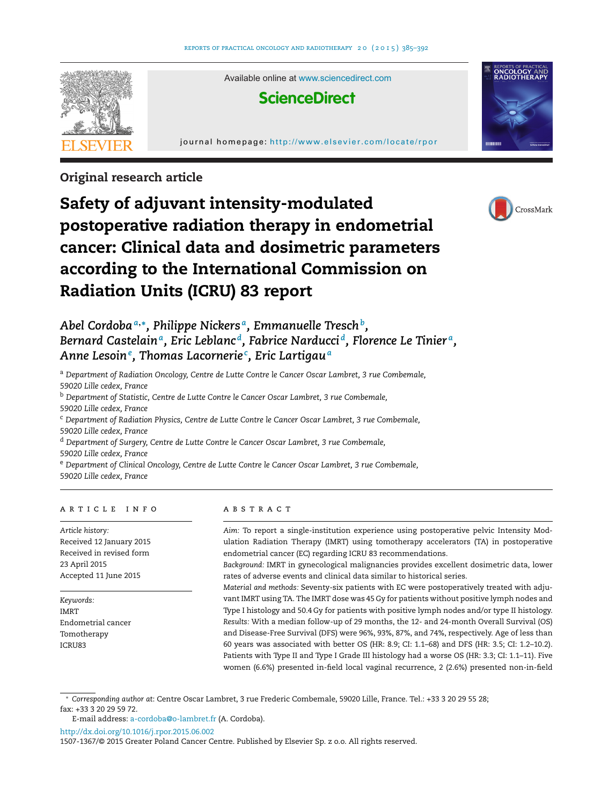

**Original research article**



# **Safety of adjuvant intensity-modulated postoperative radiation therapy in endometrial cancer: Clinical data and dosimetric parameters according to the International Commission on Radiation Units (ICRU) 83 report**

*Abel Cordoba<sup>a</sup>***,∗***, Philippe Nickers a, Emmanuelle Treschb, Bernard Castelaina, Eric Leblanc d, Fabrice Narducci d, Florence Le Tinier a, Anne Lesoin<sup>e</sup> , Thomas Lacornerie<sup>c</sup> , Eric Lartigau<sup>a</sup>*

<sup>a</sup> *Department of Radiation Oncology, Centre de Lutte Contre le Cancer Oscar Lambret, 3 rue Combemale, 59020 Lille cedex, France*

<sup>b</sup> *Department of Statistic, Centre de Lutte Contre le Cancer Oscar Lambret, 3 rue Combemale, 59020 Lille cedex, France*

<sup>c</sup> *Department of Radiation Physics, Centre de Lutte Contre le Cancer Oscar Lambret, 3 rue Combemale, 59020 Lille cedex, France*

<sup>d</sup> *Department of Surgery, Centre de Lutte Contre le Cancer Oscar Lambret, 3 rue Combemale,*

*59020 Lille cedex, France*

<sup>e</sup> *Department of Clinical Oncology, Centre de Lutte Contre le Cancer Oscar Lambret, 3 rue Combemale, 59020 Lille cedex, France*

# a r t i c l e i n f o

*Article history:* Received 12 January 2015 Received in revised form 23 April 2015 Accepted 11 June 2015

*Keywords:* IMRT Endometrial cancer Tomotherapy ICRU83

# A B S T R A C T

*Aim:* To report a single-institution experience using postoperative pelvic Intensity Modulation Radiation Therapy (IMRT) using tomotherapy accelerators (TA) in postoperative endometrial cancer (EC) regarding ICRU 83 recommendations.

*Background:* IMRT in gynecological malignancies provides excellent dosimetric data, lower rates of adverse events and clinical data similar to historical series.

*Material and methods:* Seventy-six patients with EC were postoperatively treated with adjuvant IMRT using TA. The IMRT dose was 45 Gy for patients without positive lymph nodes and Type I histology and 50.4 Gy for patients with positive lymph nodes and/or type II histology. *Results:* With a median follow-up of 29 months, the 12- and 24-month Overall Survival (OS) and Disease-Free Survival (DFS) were 96%, 93%, 87%, and 74%, respectively. Age of less than 60 years was associated with better OS (HR: 8.9; CI: 1.1–68) and DFS (HR: 3.5; CI: 1.2–10.2). Patients with Type II and Type I Grade III histology had a worse OS (HR: 3.3; CI: 1.1–11). Five women (6.6%) presented in-field local vaginal recurrence, 2 (2.6%) presented non-in-field

∗ *Corresponding author at*: Centre Oscar Lambret, 3 rue Frederic Combemale, 59020 Lille, France. Tel.: +33 3 20 29 55 28; fax: +33 3 20 29 59 72.

[http://dx.doi.org/10.1016/j.rpor.2015.06.002](dx.doi.org/10.1016/j.rpor.2015.06.002)

E-mail address: [a-cordoba@o-lambret.fr](mailto:a-cordoba@o-lambret.fr) (A. Cordoba).

<sup>1507-1367/©</sup> 2015 Greater Poland Cancer Centre. Published by Elsevier Sp. z o.o. All rights reserved.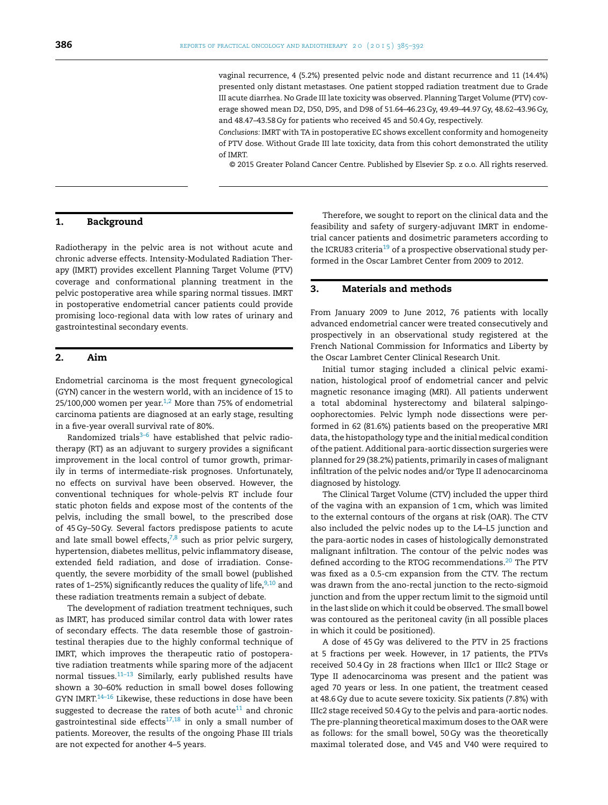vaginal recurrence, 4 (5.2%) presented pelvic node and distant recurrence and 11 (14.4%) presented only distant metastases. One patient stopped radiation treatment due to Grade III acute diarrhea. No Grade III late toxicity was observed. Planning Target Volume (PTV) coverage showed mean D2, D50, D95, and D98 of 51.64–46.23 Gy, 49.49–44.97 Gy, 48.62–43.96 Gy, and 48.47–43.58 Gy for patients who received 45 and 50.4 Gy, respectively.

*Conclusions:* IMRT with TA in postoperative EC shows excellent conformity and homogeneity of PTV dose. Without Grade III late toxicity, data from this cohort demonstrated the utility of IMRT.

© 2015 Greater Poland Cancer Centre. Published by Elsevier Sp. z o.o. All rights reserved.

## **1. Background**

Radiotherapy in the pelvic area is not without acute and chronic adverse effects. Intensity-Modulated Radiation Therapy (IMRT) provides excellent Planning Target Volume (PTV) coverage and conformational planning treatment in the pelvic postoperative area while sparing normal tissues. IMRT in postoperative endometrial cancer patients could provide promising loco-regional data with low rates of urinary and gastrointestinal secondary events.

## **2. Aim**

Endometrial carcinoma is the most frequent gynecological (GYN) cancer in the western world, with an incidence of 15 to  $25/100,000$  women per year.<sup>1,2</sup> More than 75% of endometrial carcinoma patients are diagnosed at an early stage, resulting in a five-year overall survival rate of 80%.

Randomized trials $3-6$  have established that pelvic radiotherapy (RT) as an adjuvant to surgery provides a significant improvement in the local control of tumor growth, primarily in terms of intermediate-risk prognoses. Unfortunately, no effects on survival have been observed. However, the conventional techniques for whole-pelvis RT include four static photon fields and expose most of the contents of the pelvis, including the small bowel, to the prescribed dose of 45 Gy–50 Gy. Several factors predispose patients to acute and late small bowel effects, $7,8$  such as prior pelvic surgery, hypertension, diabetes mellitus, pelvic inflammatory disease, extended field radiation, and dose of irradiation. Consequently, the severe morbidity of the small bowel (published rates of 1–25%) significantly reduces the quality of life,  $9,10$  and these radiation treatments remain a subject of debate.

The development of radiation treatment techniques, such as IMRT, has produced similar control data with lower rates of secondary effects. The data resemble those of gastrointestinal therapies due to the highly conformal technique of IMRT, which improves the therapeutic ratio of postoperative radiation treatments while sparing more of the adjacent normal tissues. $11-13$  Similarly, early published results have shown a 30–60% reduction in small bowel doses following GYN IMRT.<sup>14-16</sup> Likewise, these reductions in dose have been suggested to decrease the rates of both acute<sup>11</sup> and chronic gastrointestinal side effects $17,18$  in only a small number of patients. Moreover, the results of the ongoing Phase III trials are not expected for another 4–5 years.

Therefore, we sought to report on the clinical data and the feasibility and safety of surgery-adjuvant IMRT in endometrial cancer patients and dosimetric parameters according to the ICRU83 criteria<sup>19</sup> of a prospective observational study performed in the Oscar Lambret Center from 2009 to 2012.

### **3. Materials and methods**

From January 2009 to June 2012, 76 patients with locally advanced endometrial cancer were treated consecutively and prospectively in an observational study registered at the French National Commission for Informatics and Liberty by the Oscar Lambret Center Clinical Research Unit.

Initial tumor staging included a clinical pelvic examination, histological proof of endometrial cancer and pelvic magnetic resonance imaging (MRI). All patients underwent a total abdominal hysterectomy and bilateral salpingooophorectomies. Pelvic lymph node dissections were performed in 62 (81.6%) patients based on the preoperative MRI data, the histopathology type and the initial medical condition ofthe patient. Additional para-aortic dissection surgeries were planned for 29 (38.2%) patients, primarily in cases of malignant infiltration of the pelvic nodes and/or Type II adenocarcinoma diagnosed by histology.

The Clinical Target Volume (CTV) included the upper third of the vagina with an expansion of 1 cm, which was limited to the external contours of the organs at risk (OAR). The CTV also included the pelvic nodes up to the L4–L5 junction and the para-aortic nodes in cases of histologically demonstrated malignant infiltration. The contour of the pelvic nodes was defined according to the RTOG recommendations.<sup>[20](#page-7-0)</sup> The PTV was fixed as a 0.5-cm expansion from the CTV. The rectum was drawn from the ano-rectal junction to the recto-sigmoid junction and from the upper rectum limit to the sigmoid until in the last slide on which it could be observed. The small bowel was contoured as the peritoneal cavity (in all possible places in which it could be positioned).

A dose of 45 Gy was delivered to the PTV in 25 fractions at 5 fractions per week. However, in 17 patients, the PTVs received 50.4 Gy in 28 fractions when IIIc1 or IIIc2 Stage or Type II adenocarcinoma was present and the patient was aged 70 years or less. In one patient, the treatment ceased at 48.6 Gy due to acute severe toxicity. Six patients (7.8%) with IIIc2 stage received 50.4 Gy to the pelvis and para-aortic nodes. The pre-planning theoretical maximum doses to the OAR were as follows: for the small bowel, 50 Gy was the theoretically maximal tolerated dose, and V45 and V40 were required to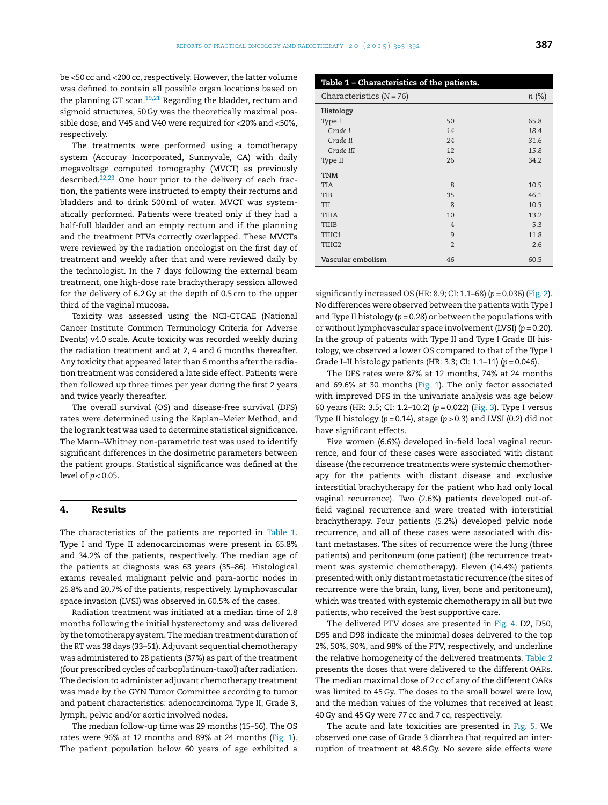be <50 cc and <200 cc, respectively. However, the latter volume was defined to contain all possible organ locations based on the planning CT scan.<sup>[19,21](#page-7-0)</sup> Regarding the bladder, rectum and sigmoid structures, 50 Gy was the theoretically maximal possible dose, and V45 and V40 were required for <20% and <50%, respectively.

The treatments were performed using a tomotherapy system (Accuray Incorporated, Sunnyvale, CA) with daily megavoltage computed tomography (MVCT) as previously described.[22,23](#page-7-0) One hour prior to the delivery of each fraction, the patients were instructed to empty their rectums and bladders and to drink 500ml of water. MVCT was systematically performed. Patients were treated only if they had a half-full bladder and an empty rectum and if the planning and the treatment PTVs correctly overlapped. These MVCTs were reviewed by the radiation oncologist on the first day of treatment and weekly after that and were reviewed daily by the technologist. In the 7 days following the external beam treatment, one high-dose rate brachytherapy session allowed for the delivery of 6.2 Gy at the depth of 0.5 cm to the upper third of the vaginal mucosa.

Toxicity was assessed using the NCI-CTCAE (National Cancer Institute Common Terminology Criteria for Adverse Events) v4.0 scale. Acute toxicity was recorded weekly during the radiation treatment and at 2, 4 and 6 months thereafter. Any toxicity that appeared later than 6 months after the radiation treatment was considered a late side effect. Patients were then followed up three times per year during the first 2 years and twice yearly thereafter.

The overall survival (OS) and disease-free survival (DFS) rates were determined using the Kaplan–Meier Method, and the log rank test was used to determine statistical significance. The Mann–Whitney non-parametric test was used to identify significant differences in the dosimetric parameters between the patient groups. Statistical significance was defined at the level of *p* < 0.05.

#### **4. Results**

The characteristics of the patients are reported in Table 1. Type I and Type II adenocarcinomas were present in 65.8% and 34.2% of the patients, respectively. The median age of the patients at diagnosis was 63 years (35–86). Histological exams revealed malignant pelvic and para-aortic nodes in 25.8% and 20.7% of the patients, respectively. Lymphovascular space invasion (LVSI) was observed in 60.5% of the cases.

Radiation treatment was initiated at a median time of 2.8 months following the initial hysterectomy and was delivered by the tomotherapy system. The median treatment duration of the RT was 38 days (33–51). Adjuvant sequential chemotherapy was administered to 28 patients (37%) as part of the treatment (four prescribed cycles of carboplatinum-taxol) after radiation. The decision to administer adjuvant chemotherapy treatment was made by the GYN Tumor Committee according to tumor and patient characteristics: adenocarcinoma Type II, Grade 3, lymph, pelvic and/or aortic involved nodes.

The median follow-up time was 29 months (15–56). The OS rates were 96% at 12 months and 89% at 24 months ([Fig.](#page-3-0) 1). The patient population below 60 years of age exhibited a

| Table 1 - Characteristics of the patients. |                |          |  |
|--------------------------------------------|----------------|----------|--|
| Characteristics $(N = 76)$                 |                | $n (\%)$ |  |
| Histology                                  |                |          |  |
| Type I                                     | 50             | 65.8     |  |
| Grade I                                    | 14             | 18.4     |  |
| Grade II                                   | 24             | 31.6     |  |
| Grade III                                  | 12             | 15.8     |  |
| Type II                                    | 26             | 34.2     |  |
| TNM                                        |                |          |  |
| <b>TIA</b>                                 | $\mathsf{R}$   | 10.5     |  |
| TIB                                        | 35             | 46.1     |  |
| TII                                        | $\mathsf{R}$   | 10.5     |  |
| <b>TIIIA</b>                               | 10             | 13.2     |  |
| TIIIB                                      | $\overline{4}$ | 5.3      |  |
| TIIIC1                                     | 9              | 11.8     |  |
| TIIIC2                                     | $\overline{2}$ | 2.6      |  |
| Vascular embolism                          | 46             | 60.5     |  |

significantly increased OS (HR: 8.9; CI: 1.1–68) (*p* = 0.036) ([Fig.](#page-3-0) 2). No differences were observed between the patients with Type I and Type II histology (*p* = 0.28) or between the populations with or without lymphovascular space involvement (LVSI) (*p* = 0.20). In the group of patients with Type II and Type I Grade III histology, we observed a lower OS compared to that of the Type I Grade I–II histology patients (HR: 3.3; CI: 1.1–11) (*p* = 0.046).

The DFS rates were 87% at 12 months, 74% at 24 months and 69.6% at 30 months ([Fig.](#page-3-0) 1). The only factor associated with improved DFS in the univariate analysis was age below 60 years (HR: 3.5; CI: 1.2–10.2) (*p* = 0.022) ([Fig.](#page-4-0) 3). Type I versus Type II histology ( $p = 0.14$ ), stage ( $p > 0.3$ ) and LVSI (0.2) did not have significant effects.

Five women (6.6%) developed in-field local vaginal recurrence, and four of these cases were associated with distant disease (the recurrence treatments were systemic chemotherapy for the patients with distant disease and exclusive interstitial brachytherapy for the patient who had only local vaginal recurrence). Two (2.6%) patients developed out-offield vaginal recurrence and were treated with interstitial brachytherapy. Four patients (5.2%) developed pelvic node recurrence, and all of these cases were associated with distant metastases. The sites of recurrence were the lung (three patients) and peritoneum (one patient) (the recurrence treatment was systemic chemotherapy). Eleven (14.4%) patients presented with only distant metastatic recurrence (the sites of recurrence were the brain, lung, liver, bone and peritoneum), which was treated with systemic chemotherapy in all but two patients, who received the best supportive care.

The delivered PTV doses are presented in [Fig.](#page-4-0) 4. D2, D50, D95 and D98 indicate the minimal doses delivered to the top 2%, 50%, 90%, and 98% of the PTV, respectively, and underline the relative homogeneity of the delivered treatments. [Table](#page-5-0) 2 presents the doses that were delivered to the different OARs. The median maximal dose of 2 cc of any of the different OARs was limited to 45 Gy. The doses to the small bowel were low, and the median values of the volumes that received at least 40 Gy and 45 Gy were 77 cc and 7 cc, respectively.

The acute and late toxicities are presented in [Fig.](#page-5-0) 5. We observed one case of Grade 3 diarrhea that required an interruption of treatment at 48.6 Gy. No severe side effects were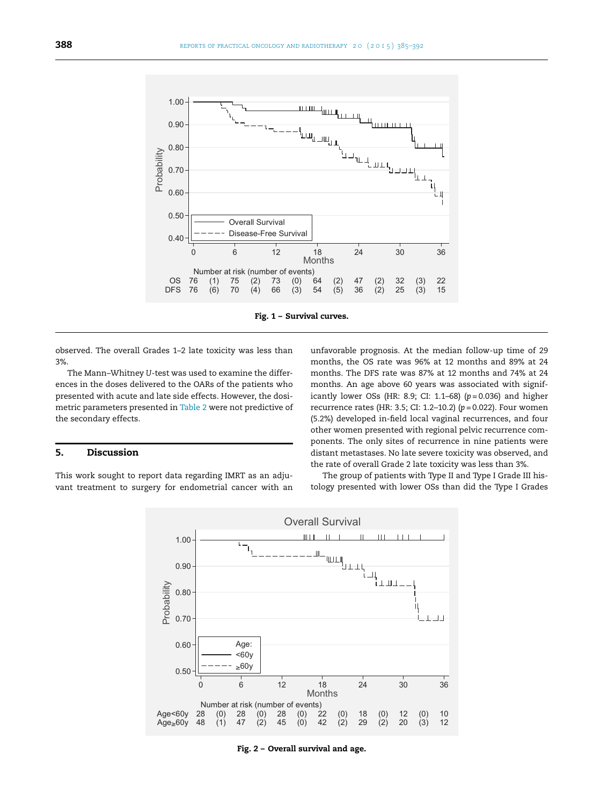<span id="page-3-0"></span>

**Fig. 1 – Survival curves.**

observed. The overall Grades 1–2 late toxicity was less than 3%.

The Mann–Whitney *U*-test was used to examine the differences in the doses delivered to the OARs of the patients who presented with acute and late side effects. However, the dosimetric parameters presented in [Table](#page-5-0) 2 were not predictive of the secondary effects.

# **5. Discussion**

This work sought to report data regarding IMRT as an adjuvant treatment to surgery for endometrial cancer with an

unfavorable prognosis. At the median follow-up time of 29 months, the OS rate was 96% at 12 months and 89% at 24 months. The DFS rate was 87% at 12 months and 74% at 24 months. An age above 60 years was associated with significantly lower OSs (HR: 8.9; CI: 1.1–68) (*p* = 0.036) and higher recurrence rates (HR: 3.5; CI: 1.2–10.2) (*p* = 0.022). Four women (5.2%) developed in-field local vaginal recurrences, and four other women presented with regional pelvic recurrence components. The only sites of recurrence in nine patients were distant metastases. No late severe toxicity was observed, and the rate of overall Grade 2 late toxicity was less than 3%.

The group of patients with Type II and Type I Grade III histology presented with lower OSs than did the Type I Grades



**Fig. 2 – Overall survival and age.**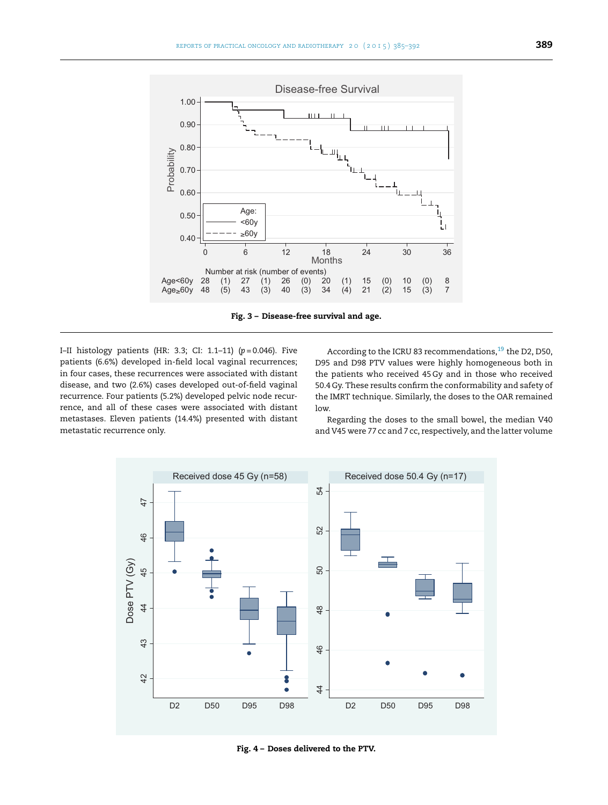<span id="page-4-0"></span>

**Fig. 3 – Disease-free survival and age.**

I–II histology patients (HR: 3.3; CI: 1.1–11) (*p* = 0.046). Five patients (6.6%) developed in-field local vaginal recurrences; in four cases, these recurrences were associated with distant disease, and two (2.6%) cases developed out-of-field vaginal recurrence. Four patients (5.2%) developed pelvic node recurrence, and all of these cases were associated with distant metastases. Eleven patients (14.4%) presented with distant metastatic recurrence only.

According to the ICRU 83 recommendations,  $^{19}$  $^{19}$  $^{19}$  the D2, D50, D95 and D98 PTV values were highly homogeneous both in the patients who received 45 Gy and in those who received 50.4 Gy. These results confirm the conformability and safety of the IMRT technique. Similarly, the doses to the OAR remained low.

Regarding the doses to the small bowel, the median V40 and V45 were 77 cc and 7 cc, respectively, and the latter volume



**Fig. 4 – Doses delivered to the PTV.**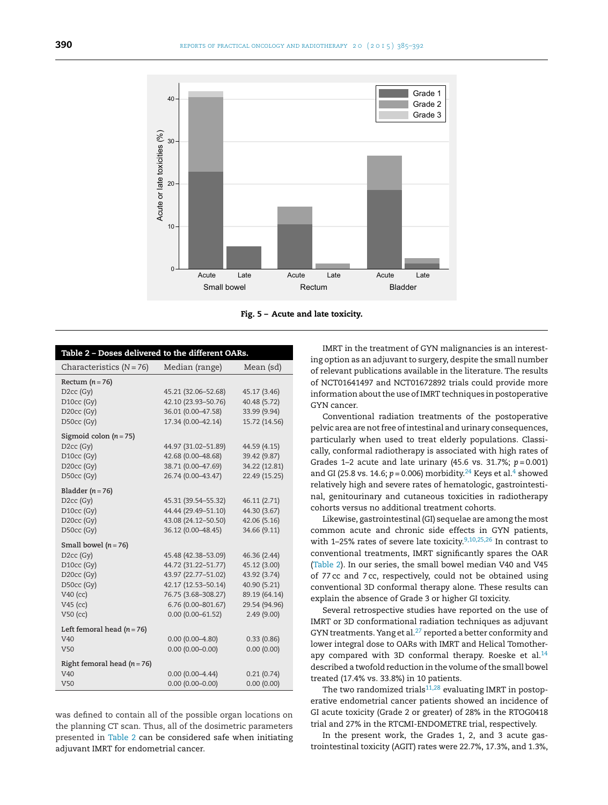<span id="page-5-0"></span>

**Fig. 5 – Acute and late toxicity.**

| Table 2 - Doses delivered to the different OARs.                                                                                      |                                                                                                                                                               |                                                                                                              |  |
|---------------------------------------------------------------------------------------------------------------------------------------|---------------------------------------------------------------------------------------------------------------------------------------------------------------|--------------------------------------------------------------------------------------------------------------|--|
| Characteristics $(N = 76)$                                                                                                            | Median (range)                                                                                                                                                | Mean (sd)                                                                                                    |  |
| Rectum $(n=76)$<br>$D2cc$ (Gy)<br>D10cc (Gy)<br>D20cc (Gy)                                                                            | 45.21 (32.06-52.68)<br>42.10 (23.93-50.76)<br>36.01 (0.00-47.58)                                                                                              | 45.17 (3.46)<br>40.48 (5.72)<br>33.99 (9.94)                                                                 |  |
| D50cc (Gy)<br>Sigmoid colon $(n = 75)$<br>D <sub>2cc</sub> (Gy)<br>D10cc (Gy)<br>D20cc (Gy)<br>D50cc (Gy)                             | 17.34 (0.00-42.14)<br>44.97 (31.02-51.89)<br>42.68 (0.00-48.68)<br>38.71 (0.00-47.69)<br>26.74 (0.00-43.47)                                                   | 15.72 (14.56)<br>44.59 (4.15)<br>39.42 (9.87)<br>34.22 (12.81)<br>22.49 (15.25)                              |  |
| Bladder ( $n = 76$ )<br>$D2cc$ (Gy)<br>D10cc (Gy)<br>D20cc (Gy)<br>D50cc (Gy)                                                         | 45.31 (39.54-55.32)<br>44.44 (29.49-51.10)<br>43.08 (24.12-50.50)<br>36.12 (0.00-48.45)                                                                       | 46.11 (2.71)<br>44.30 (3.67)<br>42.06 (5.16)<br>34.66 (9.11)                                                 |  |
| Small bowel ( $n = 76$ )<br>$D2cc$ (Gy)<br>D <sub>10cc</sub> (Gy)<br>$D20cc$ (Gy)<br>D50cc (Gy)<br>$V40$ (cc)<br>V45 (cc)<br>V50 (cc) | 45.48 (42.38-53.09)<br>44.72 (31.22-51.77)<br>43.97 (22.77-51.02)<br>42.17 (12.53-50.14)<br>76.75 (3.68-308.27)<br>6.76 (0.00-801.67)<br>$0.00(0.00 - 61.52)$ | 46.36 (2.44)<br>45.12 (3.00)<br>43.92 (3.74)<br>40.90 (5.21)<br>89.19 (64.14)<br>29.54 (94.96)<br>2.49(9.00) |  |
| Left femoral head $(n = 76)$<br>V <sub>40</sub><br>V <sub>50</sub><br>Right femoral head ( $n = 76$ )<br>V <sub>40</sub>              | $0.00(0.00-4.80)$<br>$0.00(0.00 - 0.00)$<br>$0.00(0.00-4.44)$                                                                                                 | 0.33(0.86)<br>0.00(0.00)<br>0.21(0.74)                                                                       |  |
| V <sub>50</sub>                                                                                                                       | $0.00(0.00 - 0.00)$                                                                                                                                           | 0.00(0.00)                                                                                                   |  |

was defined to contain all of the possible organ locations on the planning CT scan. Thus, all of the dosimetric parameters presented in Table 2 can be considered safe when initiating adjuvant IMRT for endometrial cancer.

IMRT in the treatment of GYN malignancies is an interesting option as an adjuvant to surgery, despite the small number of relevant publications available in the literature. The results of NCT01641497 and NCT01672892 trials could provide more information about the use of IMRT techniques in postoperative GYN cancer.

Conventional radiation treatments of the postoperative pelvic area are not free of intestinal and urinary consequences, particularly when used to treat elderly populations. Classically, conformal radiotherapy is associated with high rates of Grades 1–2 acute and late urinary (45.6 vs. 31.7%; *p* = 0.001) and GI (25.8 v[s](#page-6-0). 14.6;  $p = 0.006$ ) morbidity.<sup>[24](#page-7-0)</sup> Keys et al.<sup>4</sup> showed relatively high and severe rates of hematologic, gastrointestinal, genitourinary and cutaneous toxicities in radiotherapy cohorts versus no additional treatment cohorts.

Likewise, gastrointestinal (GI) sequelae are among the most common acute and chronic side effects in GYN patients, with 1–25% rates of severe late toxicity.<sup>[9,10,25,26](#page-6-0)</sup> In contrast to conventional treatments, IMRT significantly spares the OAR (Table 2). In our series, the small bowel median V40 and V45 of 77 cc and 7 cc, respectively, could not be obtained using conventional 3D conformal therapy alone. These results can explain the absence of Grade 3 or higher GI toxicity.

Several retrospective studies have reported on the use of IMRT or 3D conformational radiation techniques as adjuvant GYN treatments. Yang et al. $^{27}$  $^{27}$  $^{27}$  reported a better conformity and lower integral dose to OARs with IMRT and Helical Tomotherapy compared with 3D conformal therapy. Roeske et al. $^{14}$ described a twofold reduction in the volume of the small bowel treated (17.4% vs. 33.8%) in 10 patients.

The two randomized trials $11,28$  evaluating IMRT in postoperative endometrial cancer patients showed an incidence of GI acute toxicity (Grade 2 or greater) of 28% in the RTOG0418 trial and 27% in the RTCMI-ENDOMETRE trial, respectively.

In the present work, the Grades 1, 2, and 3 acute gastrointestinal toxicity (AGIT) rates were 22.7%, 17.3%, and 1.3%,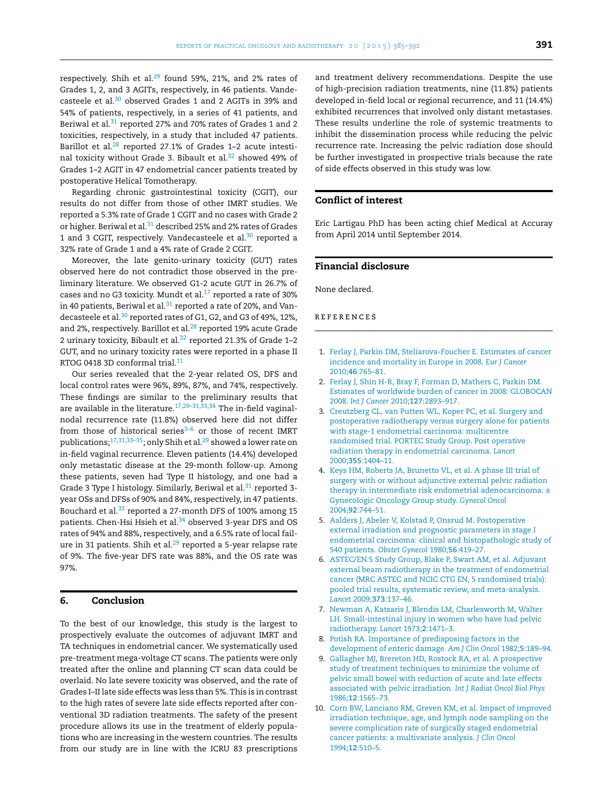<span id="page-6-0"></span>respectively. Shih et al. $^{29}$  found 59%, 21%, and 2% rates of Grades 1, 2, and 3 AGITs, respectively, in 46 patients. Vande-casteele et al.<sup>[30](#page-7-0)</sup> observed Grades 1 and 2 AGITs in 39% and 54% of patients, respectively, in a series of 41 patients, and Beriwal et al.<sup>[31](#page-7-0)</sup> reported 27% and 70% rates of Grades 1 and 2 toxicities, respectively, in a study that included 47 patients. Barillot et al.<sup>[28](#page-7-0)</sup> reported 27.1% of Grades 1-2 acute intestinal toxicity without Grade 3. Bibault et al.<sup>32</sup> showed 49% of Grades 1–2 AGIT in 47 endometrial cancer patients treated by postoperative Helical Tomotherapy.

Regarding chronic gastrointestinal toxicity (CGIT), our results do not differ from those of other IMRT studies. We reported a 5.3% rate of Grade 1 CGIT and no cases with Grade 2 or higher. Beriwal et al.<sup>[31](#page-7-0)</sup> described 25% and 2% rates of Grades 1 and 3 CGIT, respectively. Vandecasteele et al.<sup>[30](#page-7-0)</sup> reported a 32% rate of Grade 1 and a 4% rate of Grade 2 CGIT.

Moreover, the late genito-urinary toxicity (GUT) rates observed here do not contradict those observed in the preliminary literature. We observed G1-2 acute GUT in 26.7% of cases and no G3 toxicity. Mundt et al. $^{17}$  $^{17}$  $^{17}$  reported a rate of 30% in 40 patients, Beriwal et al. $31$  reported a rate of 20%, and Vandecasteele et al.<sup>30</sup> reported rates of G1, G2, and G3 of 49%, 12%, and 2%, respectively. Barillot et al.<sup>28</sup> reported 19% acute Grade 2 urinary toxicity, Bibault et al. $32$  reported 21.3% of Grade 1-2 GUT, and no urinary toxicity rates were reported in a phase II RTOG 0418 3D conformal trial.<sup>11</sup>

Our series revealed that the 2-year related OS, DFS and local control rates were 96%, 89%, 87%, and 74%, respectively. These findings are similar to the preliminary results that are available in the literature.<sup>17,29–31,33,34</sup> The in-field vaginalnodal recurrence rate (11.8%) observed here did not differ from those of historical series $3-6$  or those of recent IMRT publications; $17,31,33-35$ ; only Shih et al.<sup>29</sup> showed a lower rate on in-field vaginal recurrence. Eleven patients (14.4%) developed only metastatic disease at the 29-month follow-up. Among these patients, seven had Type II histology, and one had a Grade 3 Type I histology. Similarly, Beriwal et al.<sup>31</sup> reported 3year OSs and DFSs of 90% and 84%, respectively, in 47 patients. Bouchard et al.<sup>33</sup> reported a 27-month DFS of 100% among 15 patients. Chen-Hsi Hsieh et al.<sup>34</sup> observed 3-year DFS and OS rates of 94% and 88%, respectively, and a 6.5% rate of local failure in 31 patients. Shih et al.<sup>29</sup> reported a 5-year relapse rate of 9%. The five-year DFS rate was 88%, and the OS rate was 97%.

# **6. Conclusion**

To the best of our knowledge, this study is the largest to prospectively evaluate the outcomes of adjuvant IMRT and TA techniques in endometrial cancer. We systematically used pre-treatment mega-voltage CT scans. The patients were only treated after the online and planning CT scan data could be overlaid. No late severe toxicity was observed, and the rate of Grades I–II late side effects was less than 5%. This is in contrast to the high rates of severe late side effects reported after conventional 3D radiation treatments. The safety of the present procedure allows its use in the treatment of elderly populations who are increasing in the western countries. The results from our study are in line with the ICRU 83 prescriptions

and treatment delivery recommendations. Despite the use of high-precision radiation treatments, nine (11.8%) patients developed in-field local or regional recurrence, and 11 (14.4%) exhibited recurrences that involved only distant metastases. These results underline the role of systemic treatments to inhibit the dissemination process while reducing the pelvic recurrence rate. Increasing the pelvic radiation dose should be further investigated in prospective trials because the rate of side effects observed in this study was low.

# **Conflict of interest**

Eric Lartigau PhD has been acting chief Medical at Accuray from April 2014 until September 2014.

# **Financial disclosure**

None declared.

## r e f e r enc e s

- 1. [Ferlay](http://refhub.elsevier.com/S1507-1367(15)00087-5/sbref0180) [J,](http://refhub.elsevier.com/S1507-1367(15)00087-5/sbref0180) [Parkin](http://refhub.elsevier.com/S1507-1367(15)00087-5/sbref0180) [DM,](http://refhub.elsevier.com/S1507-1367(15)00087-5/sbref0180) [Steliarova-Foucher](http://refhub.elsevier.com/S1507-1367(15)00087-5/sbref0180) [E.](http://refhub.elsevier.com/S1507-1367(15)00087-5/sbref0180) [Estimates](http://refhub.elsevier.com/S1507-1367(15)00087-5/sbref0180) [of](http://refhub.elsevier.com/S1507-1367(15)00087-5/sbref0180) [cancer](http://refhub.elsevier.com/S1507-1367(15)00087-5/sbref0180) [incidence](http://refhub.elsevier.com/S1507-1367(15)00087-5/sbref0180) [and](http://refhub.elsevier.com/S1507-1367(15)00087-5/sbref0180) [mortality](http://refhub.elsevier.com/S1507-1367(15)00087-5/sbref0180) [in](http://refhub.elsevier.com/S1507-1367(15)00087-5/sbref0180) [Europe](http://refhub.elsevier.com/S1507-1367(15)00087-5/sbref0180) [in](http://refhub.elsevier.com/S1507-1367(15)00087-5/sbref0180) [2008.](http://refhub.elsevier.com/S1507-1367(15)00087-5/sbref0180) *[Eur](http://refhub.elsevier.com/S1507-1367(15)00087-5/sbref0180) [J](http://refhub.elsevier.com/S1507-1367(15)00087-5/sbref0180) [Cancer](http://refhub.elsevier.com/S1507-1367(15)00087-5/sbref0180)* [2010;](http://refhub.elsevier.com/S1507-1367(15)00087-5/sbref0180)**[46](http://refhub.elsevier.com/S1507-1367(15)00087-5/sbref0180)**[:765](http://refhub.elsevier.com/S1507-1367(15)00087-5/sbref0180)–[81.](http://refhub.elsevier.com/S1507-1367(15)00087-5/sbref0180)
- 2. [Ferlay](http://refhub.elsevier.com/S1507-1367(15)00087-5/sbref0185) [J,](http://refhub.elsevier.com/S1507-1367(15)00087-5/sbref0185) [Shin](http://refhub.elsevier.com/S1507-1367(15)00087-5/sbref0185) [H-R,](http://refhub.elsevier.com/S1507-1367(15)00087-5/sbref0185) [Bray](http://refhub.elsevier.com/S1507-1367(15)00087-5/sbref0185) [F,](http://refhub.elsevier.com/S1507-1367(15)00087-5/sbref0185) [Forman](http://refhub.elsevier.com/S1507-1367(15)00087-5/sbref0185) [D,](http://refhub.elsevier.com/S1507-1367(15)00087-5/sbref0185) [Mathers](http://refhub.elsevier.com/S1507-1367(15)00087-5/sbref0185) [C,](http://refhub.elsevier.com/S1507-1367(15)00087-5/sbref0185) [Parkin](http://refhub.elsevier.com/S1507-1367(15)00087-5/sbref0185) [DM.](http://refhub.elsevier.com/S1507-1367(15)00087-5/sbref0185) [Estimates](http://refhub.elsevier.com/S1507-1367(15)00087-5/sbref0185) [of](http://refhub.elsevier.com/S1507-1367(15)00087-5/sbref0185) [worldwide](http://refhub.elsevier.com/S1507-1367(15)00087-5/sbref0185) [burden](http://refhub.elsevier.com/S1507-1367(15)00087-5/sbref0185) [of](http://refhub.elsevier.com/S1507-1367(15)00087-5/sbref0185) [cancer](http://refhub.elsevier.com/S1507-1367(15)00087-5/sbref0185) [in](http://refhub.elsevier.com/S1507-1367(15)00087-5/sbref0185) [2008:](http://refhub.elsevier.com/S1507-1367(15)00087-5/sbref0185) [GLOBOCAN](http://refhub.elsevier.com/S1507-1367(15)00087-5/sbref0185) [2008.](http://refhub.elsevier.com/S1507-1367(15)00087-5/sbref0185) *[Int](http://refhub.elsevier.com/S1507-1367(15)00087-5/sbref0185) [J](http://refhub.elsevier.com/S1507-1367(15)00087-5/sbref0185) [Cancer](http://refhub.elsevier.com/S1507-1367(15)00087-5/sbref0185)* [2010;](http://refhub.elsevier.com/S1507-1367(15)00087-5/sbref0185)**[127](http://refhub.elsevier.com/S1507-1367(15)00087-5/sbref0185)**[:2893–917.](http://refhub.elsevier.com/S1507-1367(15)00087-5/sbref0185)
- 3. [Creutzberg](http://refhub.elsevier.com/S1507-1367(15)00087-5/sbref0190) [CL,](http://refhub.elsevier.com/S1507-1367(15)00087-5/sbref0190) [van](http://refhub.elsevier.com/S1507-1367(15)00087-5/sbref0190) [Putten](http://refhub.elsevier.com/S1507-1367(15)00087-5/sbref0190) [WL,](http://refhub.elsevier.com/S1507-1367(15)00087-5/sbref0190) [Koper](http://refhub.elsevier.com/S1507-1367(15)00087-5/sbref0190) [PC,](http://refhub.elsevier.com/S1507-1367(15)00087-5/sbref0190) [et](http://refhub.elsevier.com/S1507-1367(15)00087-5/sbref0190) [al.](http://refhub.elsevier.com/S1507-1367(15)00087-5/sbref0190) [Surgery](http://refhub.elsevier.com/S1507-1367(15)00087-5/sbref0190) [and](http://refhub.elsevier.com/S1507-1367(15)00087-5/sbref0190) [postoperative](http://refhub.elsevier.com/S1507-1367(15)00087-5/sbref0190) [radiotherapy](http://refhub.elsevier.com/S1507-1367(15)00087-5/sbref0190) [versus](http://refhub.elsevier.com/S1507-1367(15)00087-5/sbref0190) [surgery](http://refhub.elsevier.com/S1507-1367(15)00087-5/sbref0190) [alone](http://refhub.elsevier.com/S1507-1367(15)00087-5/sbref0190) [for](http://refhub.elsevier.com/S1507-1367(15)00087-5/sbref0190) [patients](http://refhub.elsevier.com/S1507-1367(15)00087-5/sbref0190) [with](http://refhub.elsevier.com/S1507-1367(15)00087-5/sbref0190) [stage-1](http://refhub.elsevier.com/S1507-1367(15)00087-5/sbref0190) [endometrial](http://refhub.elsevier.com/S1507-1367(15)00087-5/sbref0190) [carcinoma:](http://refhub.elsevier.com/S1507-1367(15)00087-5/sbref0190) [multicentre](http://refhub.elsevier.com/S1507-1367(15)00087-5/sbref0190) [randomised](http://refhub.elsevier.com/S1507-1367(15)00087-5/sbref0190) [trial.](http://refhub.elsevier.com/S1507-1367(15)00087-5/sbref0190) [PORTEC](http://refhub.elsevier.com/S1507-1367(15)00087-5/sbref0190) [Study](http://refhub.elsevier.com/S1507-1367(15)00087-5/sbref0190) [Group.](http://refhub.elsevier.com/S1507-1367(15)00087-5/sbref0190) [Post](http://refhub.elsevier.com/S1507-1367(15)00087-5/sbref0190) [operative](http://refhub.elsevier.com/S1507-1367(15)00087-5/sbref0190) [radiation](http://refhub.elsevier.com/S1507-1367(15)00087-5/sbref0190) [therapy](http://refhub.elsevier.com/S1507-1367(15)00087-5/sbref0190) [in](http://refhub.elsevier.com/S1507-1367(15)00087-5/sbref0190) [endometrial](http://refhub.elsevier.com/S1507-1367(15)00087-5/sbref0190) [carcinoma.](http://refhub.elsevier.com/S1507-1367(15)00087-5/sbref0190) *[Lancet](http://refhub.elsevier.com/S1507-1367(15)00087-5/sbref0190)* [2000;](http://refhub.elsevier.com/S1507-1367(15)00087-5/sbref0190)**[355](http://refhub.elsevier.com/S1507-1367(15)00087-5/sbref0190)**[:1404–11.](http://refhub.elsevier.com/S1507-1367(15)00087-5/sbref0190)
- 4. [Keys](http://refhub.elsevier.com/S1507-1367(15)00087-5/sbref0195) [HM,](http://refhub.elsevier.com/S1507-1367(15)00087-5/sbref0195) [Roberts](http://refhub.elsevier.com/S1507-1367(15)00087-5/sbref0195) [JA,](http://refhub.elsevier.com/S1507-1367(15)00087-5/sbref0195) [Brunetto](http://refhub.elsevier.com/S1507-1367(15)00087-5/sbref0195) [VL,](http://refhub.elsevier.com/S1507-1367(15)00087-5/sbref0195) [et](http://refhub.elsevier.com/S1507-1367(15)00087-5/sbref0195) [al.](http://refhub.elsevier.com/S1507-1367(15)00087-5/sbref0195) [A](http://refhub.elsevier.com/S1507-1367(15)00087-5/sbref0195) [phase](http://refhub.elsevier.com/S1507-1367(15)00087-5/sbref0195) [III](http://refhub.elsevier.com/S1507-1367(15)00087-5/sbref0195) [trial](http://refhub.elsevier.com/S1507-1367(15)00087-5/sbref0195) [of](http://refhub.elsevier.com/S1507-1367(15)00087-5/sbref0195) [surgery](http://refhub.elsevier.com/S1507-1367(15)00087-5/sbref0195) [with](http://refhub.elsevier.com/S1507-1367(15)00087-5/sbref0195) [or](http://refhub.elsevier.com/S1507-1367(15)00087-5/sbref0195) [without](http://refhub.elsevier.com/S1507-1367(15)00087-5/sbref0195) [adjunctive](http://refhub.elsevier.com/S1507-1367(15)00087-5/sbref0195) [external](http://refhub.elsevier.com/S1507-1367(15)00087-5/sbref0195) [pelvic](http://refhub.elsevier.com/S1507-1367(15)00087-5/sbref0195) [radiation](http://refhub.elsevier.com/S1507-1367(15)00087-5/sbref0195) [therapy](http://refhub.elsevier.com/S1507-1367(15)00087-5/sbref0195) [in](http://refhub.elsevier.com/S1507-1367(15)00087-5/sbref0195) [intermediate](http://refhub.elsevier.com/S1507-1367(15)00087-5/sbref0195) [risk](http://refhub.elsevier.com/S1507-1367(15)00087-5/sbref0195) [endometrial](http://refhub.elsevier.com/S1507-1367(15)00087-5/sbref0195) [adenocarcinoma:](http://refhub.elsevier.com/S1507-1367(15)00087-5/sbref0195) [a](http://refhub.elsevier.com/S1507-1367(15)00087-5/sbref0195) [Gynecologic](http://refhub.elsevier.com/S1507-1367(15)00087-5/sbref0195) [Oncology](http://refhub.elsevier.com/S1507-1367(15)00087-5/sbref0195) [Group](http://refhub.elsevier.com/S1507-1367(15)00087-5/sbref0195) [study.](http://refhub.elsevier.com/S1507-1367(15)00087-5/sbref0195) *[Gynecol](http://refhub.elsevier.com/S1507-1367(15)00087-5/sbref0195) [Oncol](http://refhub.elsevier.com/S1507-1367(15)00087-5/sbref0195)* [2004;](http://refhub.elsevier.com/S1507-1367(15)00087-5/sbref0195)**[92](http://refhub.elsevier.com/S1507-1367(15)00087-5/sbref0195)**[:744–51.](http://refhub.elsevier.com/S1507-1367(15)00087-5/sbref0195)
- 5. [Aalders](http://refhub.elsevier.com/S1507-1367(15)00087-5/sbref0200) [J,](http://refhub.elsevier.com/S1507-1367(15)00087-5/sbref0200) [Abeler](http://refhub.elsevier.com/S1507-1367(15)00087-5/sbref0200) [V,](http://refhub.elsevier.com/S1507-1367(15)00087-5/sbref0200) [Kolstad](http://refhub.elsevier.com/S1507-1367(15)00087-5/sbref0200) [P,](http://refhub.elsevier.com/S1507-1367(15)00087-5/sbref0200) [Onsrud](http://refhub.elsevier.com/S1507-1367(15)00087-5/sbref0200) [M.](http://refhub.elsevier.com/S1507-1367(15)00087-5/sbref0200) [Postoperative](http://refhub.elsevier.com/S1507-1367(15)00087-5/sbref0200) [external](http://refhub.elsevier.com/S1507-1367(15)00087-5/sbref0200) [irradiation](http://refhub.elsevier.com/S1507-1367(15)00087-5/sbref0200) [and](http://refhub.elsevier.com/S1507-1367(15)00087-5/sbref0200) [prognostic](http://refhub.elsevier.com/S1507-1367(15)00087-5/sbref0200) [parameters](http://refhub.elsevier.com/S1507-1367(15)00087-5/sbref0200) [in](http://refhub.elsevier.com/S1507-1367(15)00087-5/sbref0200) [stage](http://refhub.elsevier.com/S1507-1367(15)00087-5/sbref0200) [I](http://refhub.elsevier.com/S1507-1367(15)00087-5/sbref0200) [endometrial](http://refhub.elsevier.com/S1507-1367(15)00087-5/sbref0200) [carcinoma:](http://refhub.elsevier.com/S1507-1367(15)00087-5/sbref0200) [clinical](http://refhub.elsevier.com/S1507-1367(15)00087-5/sbref0200) [and](http://refhub.elsevier.com/S1507-1367(15)00087-5/sbref0200) [histopathologic](http://refhub.elsevier.com/S1507-1367(15)00087-5/sbref0200) [study](http://refhub.elsevier.com/S1507-1367(15)00087-5/sbref0200) [of](http://refhub.elsevier.com/S1507-1367(15)00087-5/sbref0200) [540](http://refhub.elsevier.com/S1507-1367(15)00087-5/sbref0200) [patients.](http://refhub.elsevier.com/S1507-1367(15)00087-5/sbref0200) *[Obstet](http://refhub.elsevier.com/S1507-1367(15)00087-5/sbref0200) [Gynecol](http://refhub.elsevier.com/S1507-1367(15)00087-5/sbref0200)* [1980;](http://refhub.elsevier.com/S1507-1367(15)00087-5/sbref0200)**[56](http://refhub.elsevier.com/S1507-1367(15)00087-5/sbref0200)**[:419–27.](http://refhub.elsevier.com/S1507-1367(15)00087-5/sbref0200)
- 6. [ASTEC/EN.5](http://refhub.elsevier.com/S1507-1367(15)00087-5/sbref0205) [Study](http://refhub.elsevier.com/S1507-1367(15)00087-5/sbref0205) [Group,](http://refhub.elsevier.com/S1507-1367(15)00087-5/sbref0205) [Blake](http://refhub.elsevier.com/S1507-1367(15)00087-5/sbref0205) [P,](http://refhub.elsevier.com/S1507-1367(15)00087-5/sbref0205) [Swart](http://refhub.elsevier.com/S1507-1367(15)00087-5/sbref0205) [AM,](http://refhub.elsevier.com/S1507-1367(15)00087-5/sbref0205) [et](http://refhub.elsevier.com/S1507-1367(15)00087-5/sbref0205) [al.](http://refhub.elsevier.com/S1507-1367(15)00087-5/sbref0205) [Adjuvant](http://refhub.elsevier.com/S1507-1367(15)00087-5/sbref0205) [external](http://refhub.elsevier.com/S1507-1367(15)00087-5/sbref0205) [beam](http://refhub.elsevier.com/S1507-1367(15)00087-5/sbref0205) [radiotherapy](http://refhub.elsevier.com/S1507-1367(15)00087-5/sbref0205) [in](http://refhub.elsevier.com/S1507-1367(15)00087-5/sbref0205) [the](http://refhub.elsevier.com/S1507-1367(15)00087-5/sbref0205) [treatment](http://refhub.elsevier.com/S1507-1367(15)00087-5/sbref0205) [of](http://refhub.elsevier.com/S1507-1367(15)00087-5/sbref0205) [endometrial](http://refhub.elsevier.com/S1507-1367(15)00087-5/sbref0205) [cancer](http://refhub.elsevier.com/S1507-1367(15)00087-5/sbref0205) [\(MRC](http://refhub.elsevier.com/S1507-1367(15)00087-5/sbref0205) [ASTEC](http://refhub.elsevier.com/S1507-1367(15)00087-5/sbref0205) [and](http://refhub.elsevier.com/S1507-1367(15)00087-5/sbref0205) [NCIC](http://refhub.elsevier.com/S1507-1367(15)00087-5/sbref0205) [CTG](http://refhub.elsevier.com/S1507-1367(15)00087-5/sbref0205) [EN,](http://refhub.elsevier.com/S1507-1367(15)00087-5/sbref0205) [5](http://refhub.elsevier.com/S1507-1367(15)00087-5/sbref0205) [randomised](http://refhub.elsevier.com/S1507-1367(15)00087-5/sbref0205) [trials\):](http://refhub.elsevier.com/S1507-1367(15)00087-5/sbref0205) [pooled](http://refhub.elsevier.com/S1507-1367(15)00087-5/sbref0205) [trial](http://refhub.elsevier.com/S1507-1367(15)00087-5/sbref0205) [results,](http://refhub.elsevier.com/S1507-1367(15)00087-5/sbref0205) [systematic](http://refhub.elsevier.com/S1507-1367(15)00087-5/sbref0205) [review,](http://refhub.elsevier.com/S1507-1367(15)00087-5/sbref0205) [and](http://refhub.elsevier.com/S1507-1367(15)00087-5/sbref0205) [meta-analysis.](http://refhub.elsevier.com/S1507-1367(15)00087-5/sbref0205) *[Lancet](http://refhub.elsevier.com/S1507-1367(15)00087-5/sbref0205)* [2009;](http://refhub.elsevier.com/S1507-1367(15)00087-5/sbref0205)**[373](http://refhub.elsevier.com/S1507-1367(15)00087-5/sbref0205)**[:137](http://refhub.elsevier.com/S1507-1367(15)00087-5/sbref0205)–[46.](http://refhub.elsevier.com/S1507-1367(15)00087-5/sbref0205)
- 7. [Newman](http://refhub.elsevier.com/S1507-1367(15)00087-5/sbref0210) [A,](http://refhub.elsevier.com/S1507-1367(15)00087-5/sbref0210) [Katsaris](http://refhub.elsevier.com/S1507-1367(15)00087-5/sbref0210) [J,](http://refhub.elsevier.com/S1507-1367(15)00087-5/sbref0210) [Blendis](http://refhub.elsevier.com/S1507-1367(15)00087-5/sbref0210) [LM,](http://refhub.elsevier.com/S1507-1367(15)00087-5/sbref0210) [Charlesworth](http://refhub.elsevier.com/S1507-1367(15)00087-5/sbref0210) [M,](http://refhub.elsevier.com/S1507-1367(15)00087-5/sbref0210) [Walter](http://refhub.elsevier.com/S1507-1367(15)00087-5/sbref0210) [LH.](http://refhub.elsevier.com/S1507-1367(15)00087-5/sbref0210) [Small-intestinal](http://refhub.elsevier.com/S1507-1367(15)00087-5/sbref0210) [injury](http://refhub.elsevier.com/S1507-1367(15)00087-5/sbref0210) [in](http://refhub.elsevier.com/S1507-1367(15)00087-5/sbref0210) [women](http://refhub.elsevier.com/S1507-1367(15)00087-5/sbref0210) [who](http://refhub.elsevier.com/S1507-1367(15)00087-5/sbref0210) [have](http://refhub.elsevier.com/S1507-1367(15)00087-5/sbref0210) [had](http://refhub.elsevier.com/S1507-1367(15)00087-5/sbref0210) [pelvic](http://refhub.elsevier.com/S1507-1367(15)00087-5/sbref0210) [radiotherapy.](http://refhub.elsevier.com/S1507-1367(15)00087-5/sbref0210) *[Lancet](http://refhub.elsevier.com/S1507-1367(15)00087-5/sbref0210)* [1973;](http://refhub.elsevier.com/S1507-1367(15)00087-5/sbref0210)**[2](http://refhub.elsevier.com/S1507-1367(15)00087-5/sbref0210)**[:1471](http://refhub.elsevier.com/S1507-1367(15)00087-5/sbref0210)–[3.](http://refhub.elsevier.com/S1507-1367(15)00087-5/sbref0210)
- 8. [Potish](http://refhub.elsevier.com/S1507-1367(15)00087-5/sbref0215) [RA.](http://refhub.elsevier.com/S1507-1367(15)00087-5/sbref0215) [Importance](http://refhub.elsevier.com/S1507-1367(15)00087-5/sbref0215) [of](http://refhub.elsevier.com/S1507-1367(15)00087-5/sbref0215) [predisposing](http://refhub.elsevier.com/S1507-1367(15)00087-5/sbref0215) [factors](http://refhub.elsevier.com/S1507-1367(15)00087-5/sbref0215) [in](http://refhub.elsevier.com/S1507-1367(15)00087-5/sbref0215) [the](http://refhub.elsevier.com/S1507-1367(15)00087-5/sbref0215) [development](http://refhub.elsevier.com/S1507-1367(15)00087-5/sbref0215) [of](http://refhub.elsevier.com/S1507-1367(15)00087-5/sbref0215) [enteric](http://refhub.elsevier.com/S1507-1367(15)00087-5/sbref0215) [damage.](http://refhub.elsevier.com/S1507-1367(15)00087-5/sbref0215) *[Am](http://refhub.elsevier.com/S1507-1367(15)00087-5/sbref0215) [J](http://refhub.elsevier.com/S1507-1367(15)00087-5/sbref0215) [Clin](http://refhub.elsevier.com/S1507-1367(15)00087-5/sbref0215) [Oncol](http://refhub.elsevier.com/S1507-1367(15)00087-5/sbref0215)* [1982;](http://refhub.elsevier.com/S1507-1367(15)00087-5/sbref0215)**[5](http://refhub.elsevier.com/S1507-1367(15)00087-5/sbref0215)**[:189–94.](http://refhub.elsevier.com/S1507-1367(15)00087-5/sbref0215)
- 9. [Gallagher](http://refhub.elsevier.com/S1507-1367(15)00087-5/sbref0220) [MJ,](http://refhub.elsevier.com/S1507-1367(15)00087-5/sbref0220) [Brereton](http://refhub.elsevier.com/S1507-1367(15)00087-5/sbref0220) [HD,](http://refhub.elsevier.com/S1507-1367(15)00087-5/sbref0220) [Rostock](http://refhub.elsevier.com/S1507-1367(15)00087-5/sbref0220) [RA,](http://refhub.elsevier.com/S1507-1367(15)00087-5/sbref0220) [et](http://refhub.elsevier.com/S1507-1367(15)00087-5/sbref0220) [al.](http://refhub.elsevier.com/S1507-1367(15)00087-5/sbref0220) [A](http://refhub.elsevier.com/S1507-1367(15)00087-5/sbref0220) [prospective](http://refhub.elsevier.com/S1507-1367(15)00087-5/sbref0220) [study](http://refhub.elsevier.com/S1507-1367(15)00087-5/sbref0220) [of](http://refhub.elsevier.com/S1507-1367(15)00087-5/sbref0220) [treatment](http://refhub.elsevier.com/S1507-1367(15)00087-5/sbref0220) [techniques](http://refhub.elsevier.com/S1507-1367(15)00087-5/sbref0220) [to](http://refhub.elsevier.com/S1507-1367(15)00087-5/sbref0220) [minimize](http://refhub.elsevier.com/S1507-1367(15)00087-5/sbref0220) [the](http://refhub.elsevier.com/S1507-1367(15)00087-5/sbref0220) [volume](http://refhub.elsevier.com/S1507-1367(15)00087-5/sbref0220) [of](http://refhub.elsevier.com/S1507-1367(15)00087-5/sbref0220) [pelvic](http://refhub.elsevier.com/S1507-1367(15)00087-5/sbref0220) [small](http://refhub.elsevier.com/S1507-1367(15)00087-5/sbref0220) [bowel](http://refhub.elsevier.com/S1507-1367(15)00087-5/sbref0220) [with](http://refhub.elsevier.com/S1507-1367(15)00087-5/sbref0220) [reduction](http://refhub.elsevier.com/S1507-1367(15)00087-5/sbref0220) [of](http://refhub.elsevier.com/S1507-1367(15)00087-5/sbref0220) [acute](http://refhub.elsevier.com/S1507-1367(15)00087-5/sbref0220) [and](http://refhub.elsevier.com/S1507-1367(15)00087-5/sbref0220) [late](http://refhub.elsevier.com/S1507-1367(15)00087-5/sbref0220) [effects](http://refhub.elsevier.com/S1507-1367(15)00087-5/sbref0220) [associated](http://refhub.elsevier.com/S1507-1367(15)00087-5/sbref0220) [with](http://refhub.elsevier.com/S1507-1367(15)00087-5/sbref0220) [pelvic](http://refhub.elsevier.com/S1507-1367(15)00087-5/sbref0220) [irradiation.](http://refhub.elsevier.com/S1507-1367(15)00087-5/sbref0220) *[Int](http://refhub.elsevier.com/S1507-1367(15)00087-5/sbref0220) [J](http://refhub.elsevier.com/S1507-1367(15)00087-5/sbref0220) [Radiat](http://refhub.elsevier.com/S1507-1367(15)00087-5/sbref0220) [Oncol](http://refhub.elsevier.com/S1507-1367(15)00087-5/sbref0220) [Biol](http://refhub.elsevier.com/S1507-1367(15)00087-5/sbref0220) [Phys](http://refhub.elsevier.com/S1507-1367(15)00087-5/sbref0220)* [1986;](http://refhub.elsevier.com/S1507-1367(15)00087-5/sbref0220)**[12](http://refhub.elsevier.com/S1507-1367(15)00087-5/sbref0220)**[:1565–73.](http://refhub.elsevier.com/S1507-1367(15)00087-5/sbref0220)
- 10. [Corn](http://refhub.elsevier.com/S1507-1367(15)00087-5/sbref0225) [BW,](http://refhub.elsevier.com/S1507-1367(15)00087-5/sbref0225) [Lanciano](http://refhub.elsevier.com/S1507-1367(15)00087-5/sbref0225) [RM,](http://refhub.elsevier.com/S1507-1367(15)00087-5/sbref0225) [Greven](http://refhub.elsevier.com/S1507-1367(15)00087-5/sbref0225) [KM,](http://refhub.elsevier.com/S1507-1367(15)00087-5/sbref0225) [et](http://refhub.elsevier.com/S1507-1367(15)00087-5/sbref0225) [al.](http://refhub.elsevier.com/S1507-1367(15)00087-5/sbref0225) [Impact](http://refhub.elsevier.com/S1507-1367(15)00087-5/sbref0225) [of](http://refhub.elsevier.com/S1507-1367(15)00087-5/sbref0225) [improved](http://refhub.elsevier.com/S1507-1367(15)00087-5/sbref0225) [irradiation](http://refhub.elsevier.com/S1507-1367(15)00087-5/sbref0225) [technique,](http://refhub.elsevier.com/S1507-1367(15)00087-5/sbref0225) [age,](http://refhub.elsevier.com/S1507-1367(15)00087-5/sbref0225) [and](http://refhub.elsevier.com/S1507-1367(15)00087-5/sbref0225) [lymph](http://refhub.elsevier.com/S1507-1367(15)00087-5/sbref0225) [node](http://refhub.elsevier.com/S1507-1367(15)00087-5/sbref0225) [sampling](http://refhub.elsevier.com/S1507-1367(15)00087-5/sbref0225) [on](http://refhub.elsevier.com/S1507-1367(15)00087-5/sbref0225) [the](http://refhub.elsevier.com/S1507-1367(15)00087-5/sbref0225) [severe](http://refhub.elsevier.com/S1507-1367(15)00087-5/sbref0225) [complication](http://refhub.elsevier.com/S1507-1367(15)00087-5/sbref0225) [rate](http://refhub.elsevier.com/S1507-1367(15)00087-5/sbref0225) [of](http://refhub.elsevier.com/S1507-1367(15)00087-5/sbref0225) [surgically](http://refhub.elsevier.com/S1507-1367(15)00087-5/sbref0225) [staged](http://refhub.elsevier.com/S1507-1367(15)00087-5/sbref0225) [endometrial](http://refhub.elsevier.com/S1507-1367(15)00087-5/sbref0225) [cancer](http://refhub.elsevier.com/S1507-1367(15)00087-5/sbref0225) [patients:](http://refhub.elsevier.com/S1507-1367(15)00087-5/sbref0225) [a](http://refhub.elsevier.com/S1507-1367(15)00087-5/sbref0225) [multivariate](http://refhub.elsevier.com/S1507-1367(15)00087-5/sbref0225) [analysis.](http://refhub.elsevier.com/S1507-1367(15)00087-5/sbref0225) *[J](http://refhub.elsevier.com/S1507-1367(15)00087-5/sbref0225) [Clin](http://refhub.elsevier.com/S1507-1367(15)00087-5/sbref0225) [Oncol](http://refhub.elsevier.com/S1507-1367(15)00087-5/sbref0225)* [1994;](http://refhub.elsevier.com/S1507-1367(15)00087-5/sbref0225)**[12](http://refhub.elsevier.com/S1507-1367(15)00087-5/sbref0225)**[:510–5.](http://refhub.elsevier.com/S1507-1367(15)00087-5/sbref0225)